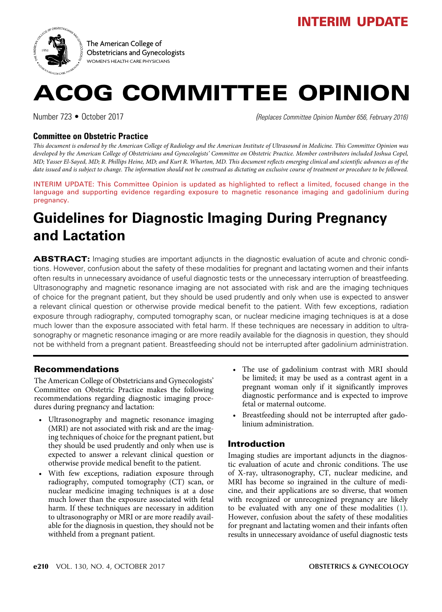

The American College of Obstetricians and Gynecologists WOMEN'S HEALTH CARE PHYSICIANS

# ACOG COMMITTEE OPINION

Number 723 • October 2017 *(Replaces Committee Opinion Number 656, February 2016)*

## **Committee on Obstetric Practice**

*This document is endorsed by the American College of Radiology and the American Institute of Ultrasound in Medicine. This Committee Opinion was developed by the American College of Obstetricians and Gynecologists' Committee on Obstetric Practice. Member contributors included Joshua Copel, MD; Yasser El-Sayed, MD; R. Phillips Heine, MD; and Kurt R. Wharton, MD. This document reflects emerging clinical and scientific advances as of the date issued and is subject to change. The information should not be construed as dictating an exclusive course of treatment or procedure to be followed.*

INTERIM UPDATE: This Committee Opinion is updated as highlighted to reflect a limited, focused change in the language and supporting evidence regarding exposure to magnetic resonance imaging and gadolinium during pregnancy.

# **Guidelines for Diagnostic Imaging During Pregnancy and Lactation**

ABSTRACT: Imaging studies are important adjuncts in the diagnostic evaluation of acute and chronic conditions. However, confusion about the safety of these modalities for pregnant and lactating women and their infants often results in unnecessary avoidance of useful diagnostic tests or the unnecessary interruption of breastfeeding. Ultrasonography and magnetic resonance imaging are not associated with risk and are the imaging techniques of choice for the pregnant patient, but they should be used prudently and only when use is expected to answer a relevant clinical question or otherwise provide medical benefit to the patient. With few exceptions, radiation exposure through radiography, computed tomography scan, or nuclear medicine imaging techniques is at a dose much lower than the exposure associated with fetal harm. If these techniques are necessary in addition to ultrasonography or magnetic resonance imaging or are more readily available for the diagnosis in question, they should not be withheld from a pregnant patient. Breastfeeding should not be interrupted after gadolinium administration.

# Recommendations

The American College of Obstetricians and Gynecologists' Committee on Obstetric Practice makes the following recommendations regarding diagnostic imaging procedures during pregnancy and lactation:

- Ultrasonography and magnetic resonance imaging (MRI) are not associated with risk and are the imaging techniques of choice for the pregnant patient, but they should be used prudently and only when use is expected to answer a relevant clinical question or otherwise provide medical benefit to the patient.
- With few exceptions, radiation exposure through radiography, computed tomography (CT) scan, or nuclear medicine imaging techniques is at a dose much lower than the exposure associated with fetal harm. If these techniques are necessary in addition to ultrasonography or MRI or are more readily available for the diagnosis in question, they should not be withheld from a pregnant patient.
- The use of gadolinium contrast with MRI should be limited; it may be used as a contrast agent in a pregnant woman only if it significantly improves diagnostic performance and is expected to improve fetal or maternal outcome.
- Breastfeeding should not be interrupted after gadolinium administration.

# Introduction

<span id="page-0-0"></span>Imaging studies are important adjuncts in the diagnostic evaluation of acute and chronic conditions. The use of X-ray, ultrasonography, CT, nuclear medicine, and MRI has become so ingrained in the culture of medicine, and their applications are so diverse, that women with recognized or unrecognized pregnancy are likely to be evaluated with any one of these modalities ([1](#page-5-0)). However, confusion about the safety of these modalities for pregnant and lactating women and their infants often results in unnecessary avoidance of useful diagnostic tests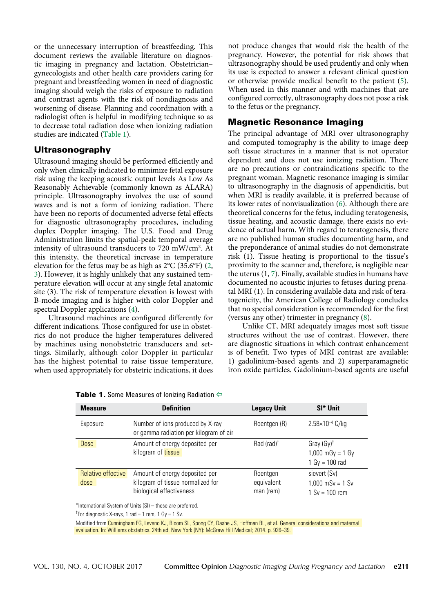or the unnecessary interruption of breastfeeding. This document reviews the available literature on diagnostic imaging in pregnancy and lactation. Obstetrician– gynecologists and other health care providers caring for pregnant and breastfeeding women in need of diagnostic imaging should weigh the risks of exposure to radiation and contrast agents with the risk of nondiagnosis and worsening of disease. Planning and coordination with a radiologist often is helpful in modifying technique so as to decrease total radiation dose when ionizing radiation studies are indicated [\(Table 1\)](#page-1-0).

#### <span id="page-1-1"></span>Ultrasonography

Ultrasound imaging should be performed efficiently and only when clinically indicated to minimize fetal exposure risk using the keeping acoustic output levels As Low As Reasonably Achievable (commonly known as ALARA) principle. Ultrasonography involves the use of sound waves and is not a form of ionizing radiation. There have been no reports of documented adverse fetal effects for diagnostic ultrasonography procedures, including duplex Doppler imaging. The U.S. Food and Drug Administration limits the spatial-peak temporal average intensity of ultrasound transducers to 720 mW/cm2 . At this intensity, the theoretical increase in temperature elevation for the fetus may be as high as  $2^{\circ}C$  (35.6°F) [\(2,](#page-5-1) [3\)](#page-5-2). However, it is highly unlikely that any sustained temperature elevation will occur at any single fetal anatomic site (3). The risk of temperature elevation is lowest with B-mode imaging and is higher with color Doppler and spectral Doppler applications ([4](#page-5-3)).

<span id="page-1-4"></span><span id="page-1-3"></span><span id="page-1-2"></span>Ultrasound machines are configured differently for different indications. Those configured for use in obstetrics do not produce the higher temperatures delivered by machines using nonobstetric transducers and settings. Similarly, although color Doppler in particular has the highest potential to raise tissue temperature, when used appropriately for obstetric indications, it does

<span id="page-1-5"></span>not produce changes that would risk the health of the pregnancy. However, the potential for risk shows that ultrasonography should be used prudently and only when its use is expected to answer a relevant clinical question or otherwise provide medical benefit to the patient ([5](#page-5-4)). When used in this manner and with machines that are configured correctly, ultrasonography does not pose a risk to the fetus or the pregnancy.

#### Magnetic Resonance Imaging

<span id="page-1-6"></span>The principal advantage of MRI over ultrasonography and computed tomography is the ability to image deep soft tissue structures in a manner that is not operator dependent and does not use ionizing radiation. There are no precautions or contraindications specific to the pregnant woman. Magnetic resonance imaging is similar to ultrasonography in the diagnosis of appendicitis, but when MRI is readily available, it is preferred because of its lower rates of nonvisualization ([6\)](#page-5-5). Although there are theoretical concerns for the fetus, including teratogenesis, tissue heating, and acoustic damage, there exists no evidence of actual harm. With regard to teratogenesis, there are no published human studies documenting harm, and the preponderance of animal studies do not demonstrate risk (1). Tissue heating is proportional to the tissue's proximity to the scanner and, therefore, is negligible near the uterus (1, [7](#page-5-6)). Finally, available studies in humans have documented no acoustic injuries to fetuses during prenatal MRI (1). In considering available data and risk of teratogenicity, the American College of Radiology concludes that no special consideration is recommended for the first (versus any other) trimester in pregnancy [\(8\)](#page-5-7).

<span id="page-1-8"></span><span id="page-1-7"></span>Unlike CT, MRI adequately images most soft tissue structures without the use of contrast. However, there are diagnostic situations in which contrast enhancement is of benefit. Two types of MRI contrast are available: 1) gadolinium-based agents and 2) superparamagnetic iron oxide particles. Gadolinium-based agents are useful

| <b>Measure</b>             | <b>Definition</b>                                                                               | <b>Legacy Unit</b>                  | SI* Unit                                                                           |
|----------------------------|-------------------------------------------------------------------------------------------------|-------------------------------------|------------------------------------------------------------------------------------|
| Exposure                   | Number of ions produced by X-ray<br>or gamma radiation per kilogram of air                      | Roentgen (R)                        | $2.58 \times 10^{-4}$ C/kg                                                         |
| <b>Dose</b>                | Amount of energy deposited per<br>kilogram of tissue                                            | Rad (rad) <sup>†</sup>              | Gray $(Gy)$ <sup>†</sup><br>$1,000 \text{ mGy} = 1 \text{ Gy}$<br>1 $Gy = 100$ rad |
| Relative effective<br>dose | Amount of energy deposited per<br>kilogram of tissue normalized for<br>biological effectiveness | Roentgen<br>equivalent<br>man (rem) | sievert (Sv)<br>$1,000$ mSv = 1 Sv<br>$1 Sv = 100 rem$                             |

<span id="page-1-0"></span>

|  |  | <b>Table 1.</b> Some Measures of lonizing Radiation ⇐ |  |  |  |  |
|--|--|-------------------------------------------------------|--|--|--|--|
|--|--|-------------------------------------------------------|--|--|--|--|

\*International System of Units (SI) – these are preferred.

<sup>†</sup>For diagnostic X-rays, 1 rad = 1 rem, 1 Gy = 1 Sv.

Modified from Cunningham FG, Leveno KJ, Bloom SL, Spong CY, Dashe JS, Hoffman BL, et al. General considerations and maternal evaluation. In: Williams obstetrics. 24th ed. New York (NY): McGraw Hill Medical; 2014. p. 926–39.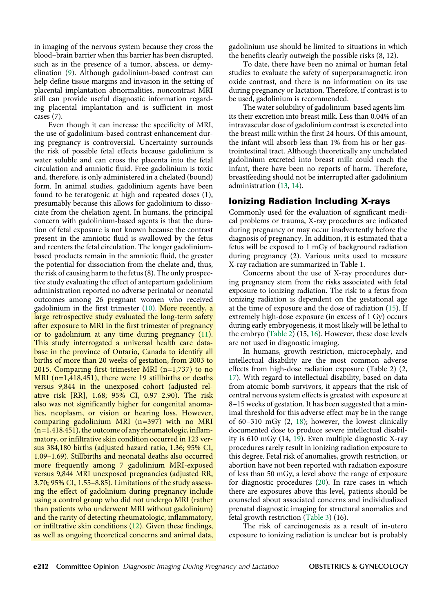<span id="page-2-2"></span>in imaging of the nervous system because they cross the blood–brain barrier when this barrier has been disrupted, such as in the presence of a tumor, abscess, or demyelination ([9\)](#page-5-15). Although gadolinium-based contrast can help define tissue margins and invasion in the setting of placental implantation abnormalities, noncontrast MRI still can provide useful diagnostic information regarding placental implantation and is sufficient in most cases (7).

<span id="page-2-3"></span>Even though it can increase the specificity of MRI, the use of gadolinium-based contrast enhancement during pregnancy is controversial. Uncertainty surrounds the risk of possible fetal effects because gadolinium is water soluble and can cross the placenta into the fetal circulation and amniotic fluid. Free gadolinium is toxic and, therefore, is only administered in a chelated (bound) form. In animal studies, gadolinium agents have been found to be teratogenic at high and repeated doses (1), presumably because this allows for gadolinium to dissociate from the chelation agent. In humans, the principal concern with gadolinium-based agents is that the duration of fetal exposure is not known because the contrast present in the amniotic fluid is swallowed by the fetus and reenters the fetal circulation. The longer gadoliniumbased products remain in the amniotic fluid, the greater the potential for dissociation from the chelate and, thus, the risk of causing harm to the fetus (8). The only prospective study evaluating the effect of antepartum gadolinium administration reported no adverse perinatal or neonatal outcomes among 26 pregnant women who received gadolinium in the first trimester ([10](#page-5-16)). More recently, a large retrospective study evaluated the long-term safety after exposure to MRI in the first trimester of pregnancy or to gadolinium at any time during pregnancy ([11](#page-5-8)). This study interrogated a universal health care database in the province of Ontario, Canada to identify all births of more than 20 weeks of gestation, from 2003 to 2015. Comparing first-trimester MRI (n=1,737) to no MRI (n=1,418,451), there were 19 stillbirths or deaths versus 9,844 in the unexposed cohort (adjusted relative risk [RR], 1.68; 95% CI, 0.97–2.90). The risk also was not significantly higher for congenital anomalies, neoplasm, or vision or hearing loss. However, comparing gadolinium MRI (n=397) with no MRI  $(n=1,418,451)$ , the outcome of any rheumatologic, inflammatory, or infiltrative skin condition occurred in 123 versus 384,180 births (adjusted hazard ratio, 1.36; 95% CI, 1.09–1.69). Stillbirths and neonatal deaths also occurred more frequently among 7 gadolinium MRI-exposed versus 9,844 MRI unexposed pregnancies (adjusted RR, 3.70; 95% CI, 1.55–8.85). Limitations of the study assessing the effect of gadolinium during pregnancy include using a control group who did not undergo MRI (rather than patients who underwent MRI without gadolinium) and the rarity of detecting rheumatologic, inflammatory, or infiltrative skin conditions ([12](#page-5-17)). Given these findings, as well as ongoing theoretical concerns and animal data,

gadolinium use should be limited to situations in which the benefits clearly outweigh the possible risks (8, 12).

To date, there have been no animal or human fetal studies to evaluate the safety of superparamagnetic iron oxide contrast, and there is no information on its use during pregnancy or lactation. Therefore, if contrast is to be used, gadolinium is recommended.

The water solubility of gadolinium-based agents limits their excretion into breast milk. Less than 0.04% of an intravascular dose of gadolinium contrast is excreted into the breast milk within the first 24 hours. Of this amount, the infant will absorb less than 1% from his or her gastrointestinal tract. Although theoretically any unchelated gadolinium excreted into breast milk could reach the infant, there have been no reports of harm. Therefore, breastfeeding should not be interrupted after gadolinium administration [\(13](#page-5-8), [14](#page-5-9)).

#### <span id="page-2-7"></span><span id="page-2-6"></span>Ionizing Radiation Including X-rays

Commonly used for the evaluation of significant medical problems or trauma, X-ray procedures are indicated during pregnancy or may occur inadvertently before the diagnosis of pregnancy. In addition, it is estimated that a fetus will be exposed to 1 mGy of background radiation during pregnancy (2). Various units used to measure X-ray radiation are summarized in Table 1.

<span id="page-2-8"></span>Concerns about the use of X-ray procedures during pregnancy stem from the risks associated with fetal exposure to ionizing radiation. The risk to a fetus from ionizing radiation is dependent on the gestational age at the time of exposure and the dose of radiation ([1](#page-5-10)5). If extremely high-dose exposure (in excess of 1 Gy) occurs during early embryogenesis, it most likely will be lethal to the embryo [\(Table 2](#page-3-0)) (15, [16](#page-5-11)). However, these dose levels are not used in diagnostic imaging.

<span id="page-2-10"></span><span id="page-2-9"></span><span id="page-2-4"></span><span id="page-2-0"></span>In humans, growth restriction, microcephaly, and intellectual disability are the most common adverse effects from high-dose radiation exposure (Table 2) (2, [17](#page-5-12)). With regard to intellectual disability, based on data from atomic bomb survivors, it appears that the risk of central nervous system effects is greatest with exposure at 8–15 weeks of gestation. It has been suggested that a minimal threshold for this adverse effect may be in the range of 60–310 mGy (2, [1](#page-5-13)8); however, the lowest clinically documented dose to produce severe intellectual disability is 610 mGy (14, [1](#page-5-14)9). Even multiple diagnostic X-ray procedures rarely result in ionizing radiation exposure to this degree. Fetal risk of anomalies, growth restriction, or abortion have not been reported with radiation exposure of less than 50 mGy, a level above the range of exposure for diagnostic procedures (20). In rare cases in which there are exposures above this level, patients should be counseled about associated concerns and individualized prenatal diagnostic imaging for structural anomalies and fetal growth restriction [\(Table 3\)](#page-4-0) (16).

<span id="page-2-11"></span><span id="page-2-5"></span><span id="page-2-1"></span>The risk of carcinogenesis as a result of in-utero exposure to ionizing radiation is unclear but is probably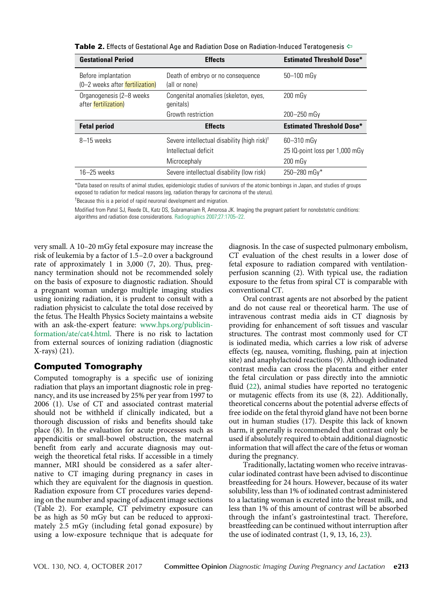| <b>Gestational Period</b>                              | <b>Effects</b>                                          | <b>Estimated Threshold Dose*</b> |
|--------------------------------------------------------|---------------------------------------------------------|----------------------------------|
| Before implantation<br>(0-2 weeks after fertilization) | Death of embryo or no consequence<br>(all or none)      | $50 - 100$ mGy                   |
| Organogenesis (2-8 weeks)<br>after fertilization)      | Congenital anomalies (skeleton, eyes,<br>qenitals)      | $200 \text{ mGy}$                |
|                                                        | Growth restriction                                      | $200 - 250$ mGy                  |
| <b>Fetal period</b>                                    | <b>Effects</b>                                          | <b>Estimated Threshold Dose*</b> |
| 8-15 weeks                                             | Severe intellectual disability (high risk) <sup>†</sup> | $60 - 310$ mGy                   |
|                                                        | Intellectual deficit                                    | 25 IQ-point loss per 1,000 mGy   |
|                                                        | Microcephaly                                            | $200 \text{ mGy}$                |
| $16 - 25$ weeks                                        | Severe intellectual disability (low risk)               | $250 - 280$ mGy <sup>*</sup>     |

<span id="page-3-0"></span>**Table 2.** Effects of Gestational Age and Radiation Dose on Radiation-Induced Teratogenesis  $\Leftrightarrow$ 

\*Data based on results of animal studies, epidemiologic studies of survivors of the atomic bombings in Japan, and studies of groups exposed to radiation for medical reasons (eg, radiation therapy for carcinoma of the uterus).

<sup>†</sup>Because this is a period of rapid neuronal development and migration.

Modified from Patel SJ, Reede DL, Katz DS, Subramaniam R, Amorosa JK. Imaging the pregnant patient for nonobstetric conditions: algorithms and radiation dose considerations. [Radiographics 2007;27:1705–22.](http://www.ncbi.nlm.nih.gov/pubmed/18025513)

very small. A 10–20 mGy fetal exposure may increase the risk of leukemia by a factor of 1.5–2.0 over a background rate of approximately 1 in 3,000 (7, 20). Thus, pregnancy termination should not be recommended solely on the basis of exposure to diagnostic radiation. Should a pregnant woman undergo multiple imaging studies using ionizing radiation, it is prudent to consult with a radiation physicist to calculate the total dose received by the fetus. The Health Physics Society maintains a website with an ask-the-expert feature: [www.hps.org/publicin](http://www.hps.org/publicinformation/ate/cat4.html)[formation/ate/cat4.html.](http://www.hps.org/publicinformation/ate/cat4.html) There is no risk to lactation from external sources of ionizing radiation (diagnostic X-rays) (21).

### Computed Tomography

Computed tomography is a specific use of ionizing radiation that plays an important diagnostic role in pregnancy, and its use increased by 25% per year from 1997 to 2006 (1). Use of CT and associated contrast material should not be withheld if clinically indicated, but a thorough discussion of risks and benefits should take place (8). In the evaluation for acute processes such as appendicitis or small-bowel obstruction, the maternal benefit from early and accurate diagnosis may outweigh the theoretical fetal risks. If accessible in a timely manner, MRI should be considered as a safer alternative to CT imaging during pregnancy in cases in which they are equivalent for the diagnosis in question. Radiation exposure from CT procedures varies depending on the number and spacing of adjacent image sections (Table 2). For example, CT pelvimetry exposure can be as high as 50 mGy but can be reduced to approximately 2.5 mGy (including fetal gonad exposure) by using a low-exposure technique that is adequate for

diagnosis. In the case of suspected pulmonary embolism, CT evaluation of the chest results in a lower dose of fetal exposure to radiation compared with ventilationperfusion scanning (2). With typical use, the radiation exposure to the fetus from spiral CT is comparable with conventional CT.

Oral contrast agents are not absorbed by the patient and do not cause real or theoretical harm. The use of intravenous contrast media aids in CT diagnosis by providing for enhancement of soft tissues and vascular structures. The contrast most commonly used for CT is iodinated media, which carries a low risk of adverse effects (eg, nausea, vomiting, flushing, pain at injection site) and anaphylactoid reactions (9). Although iodinated contrast media can cross the placenta and either enter the fetal circulation or pass directly into the amniotic fluid ([2](#page-5-18)2), animal studies have reported no teratogenic or mutagenic effects from its use (8, 22). Additionally, theoretical concerns about the potential adverse effects of free iodide on the fetal thyroid gland have not been borne out in human studies (17). Despite this lack of known harm, it generally is recommended that contrast only be used if absolutely required to obtain additional diagnostic information that will affect the care of the fetus or woman during the pregnancy.

<span id="page-3-2"></span><span id="page-3-1"></span>Traditionally, lactating women who receive intravascular iodinated contrast have been advised to discontinue breastfeeding for 24 hours. However, because of its water solubility, less than 1% of iodinated contrast administered to a lactating woman is excreted into the breast milk, and less than 1% of this amount of contrast will be absorbed through the infant's gastrointestinal tract. Therefore, breastfeeding can be continued without interruption after the use of iodinated contrast  $(1, 9, 13, 16, 23)$  $(1, 9, 13, 16, 23)$  $(1, 9, 13, 16, 23)$ .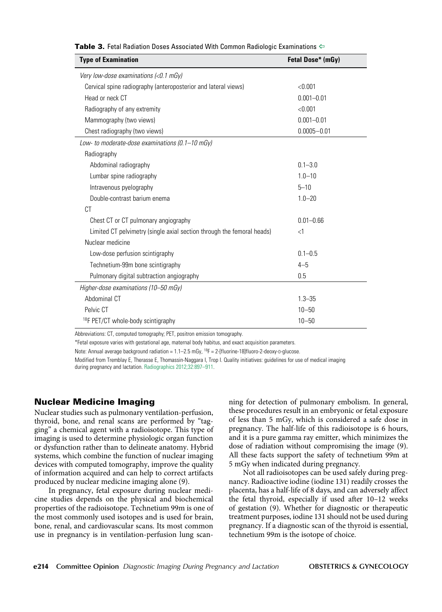| <b>Type of Examination</b>                                             | Fetal Dose* (mGy) |  |  |  |
|------------------------------------------------------------------------|-------------------|--|--|--|
| Very low-dose examinations (<0.1 mGy)                                  |                   |  |  |  |
| Cervical spine radiography (anteroposterior and lateral views)         | < 0.001           |  |  |  |
| Head or neck CT                                                        | $0.001 - 0.01$    |  |  |  |
| Radiography of any extremity                                           | < 0.001           |  |  |  |
| Mammography (two views)                                                | $0.001 - 0.01$    |  |  |  |
| Chest radiography (two views)                                          | $0.0005 - 0.01$   |  |  |  |
| Low- to moderate-dose examinations (0.1-10 mGy)                        |                   |  |  |  |
| Radiography                                                            |                   |  |  |  |
| Abdominal radiography                                                  | $0.1 - 3.0$       |  |  |  |
| Lumbar spine radiography                                               | $1.0 - 10$        |  |  |  |
| Intravenous pyelography                                                | $5 - 10$          |  |  |  |
| Double-contrast barium enema                                           | $1.0 - 20$        |  |  |  |
| CT                                                                     |                   |  |  |  |
| Chest CT or CT pulmonary angiography                                   | $0.01 - 0.66$     |  |  |  |
| Limited CT pelvimetry (single axial section through the femoral heads) | $\leq$ 1          |  |  |  |
| Nuclear medicine                                                       |                   |  |  |  |
| Low-dose perfusion scintigraphy                                        | $0.1 - 0.5$       |  |  |  |
| Technetium-99m bone scintigraphy                                       | $4 - 5$           |  |  |  |
| Pulmonary digital subtraction angiography                              | 0.5               |  |  |  |
| Higher-dose examinations (10-50 mGy)                                   |                   |  |  |  |
| Abdominal CT                                                           | $1.3 - 35$        |  |  |  |
| Pelvic CT                                                              | $10 - 50$         |  |  |  |
| <sup>18</sup> F PET/CT whole-body scintigraphy                         | $10 - 50$         |  |  |  |

<span id="page-4-0"></span>**Table 3.** Fetal Radiation Doses Associated With Common Radiologic Examinations  $\Leftrightarrow$ 

Abbreviations: CT, computed tomography; PET, positron emission tomography.

\*Fetal exposure varies with gestational age, maternal body habitus, and exact acquisition parameters.

Note: Annual average background radiation =  $1.1-2.5$  mGv,  $^{18}$ F = 2-[fluorine-18]fluoro-2-deoxy-p-glucose.

Modified from Tremblay E, Therasse E, Thomassin-Naggara I, Trop I. Quality initiatives: guidelines for use of medical imaging during pregnancy and lactation. [Radiographics 2012;32:897–911](http://www.ncbi.nlm.nih.gov/pubmed/22403117).

#### Nuclear Medicine Imaging

Nuclear studies such as pulmonary ventilation-perfusion, thyroid, bone, and renal scans are performed by "tagging" a chemical agent with a radioisotope. This type of imaging is used to determine physiologic organ function or dysfunction rather than to delineate anatomy. Hybrid systems, which combine the function of nuclear imaging devices with computed tomography, improve the quality of information acquired and can help to correct artifacts produced by nuclear medicine imaging alone (9).

In pregnancy, fetal exposure during nuclear medicine studies depends on the physical and biochemical properties of the radioisotope. Technetium 99m is one of the most commonly used isotopes and is used for brain, bone, renal, and cardiovascular scans. Its most common use in pregnancy is in ventilation-perfusion lung scanning for detection of pulmonary embolism. In general, these procedures result in an embryonic or fetal exposure of less than 5 mGy, which is considered a safe dose in pregnancy. The half-life of this radioisotope is 6 hours, and it is a pure gamma ray emitter, which minimizes the dose of radiation without compromising the image (9). All these facts support the safety of technetium 99m at 5 mGy when indicated during pregnancy.

Not all radioisotopes can be used safely during pregnancy. Radioactive iodine (iodine 131) readily crosses the placenta, has a half-life of 8 days, and can adversely affect the fetal thyroid, especially if used after 10–12 weeks of gestation (9). Whether for diagnostic or therapeutic treatment purposes, iodine 131 should not be used during pregnancy. If a diagnostic scan of the thyroid is essential, technetium 99m is the isotope of choice.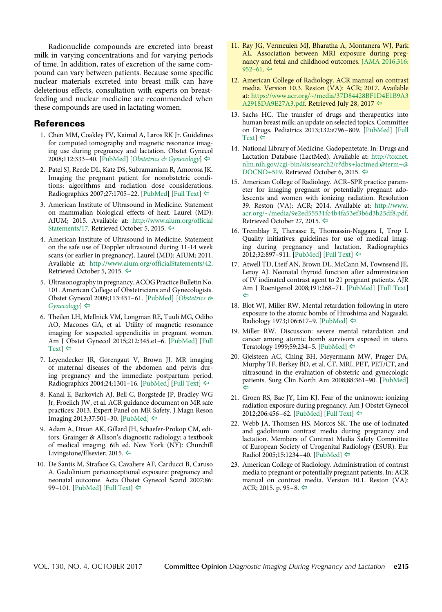Radionuclide compounds are excreted into breast milk in varying concentrations and for varying periods of time. In addition, rates of excretion of the same compound can vary between patients. Because some specific nuclear materials excreted into breast milk can have deleterious effects, consultation with experts on breastfeeding and nuclear medicine are recommended when these compounds are used in lactating women.

#### References

- <span id="page-5-0"></span>1. Chen MM, Coakley FV, Kaimal A, Laros RK Jr. Guidelines for computed tomography and magnetic resonance imaging use during pregnancy and lactation. Obstet Gynecol 2008;112:333–40. [\[PubMed\]](http://www.ncbi.nlm.nih.gov/pubmed/18669732) [*[Obstetrics & Gynecology](http://journals.lww.com/greenjournal/Fulltext/2008/08000/Guidelines_for_Computed_Tomography_and_Magnetic.22.aspx)*] [^](#page-0-0)
- <span id="page-5-1"></span>2. Patel SJ, Reede DL, Katz DS, Subramaniam R, Amorosa JK. Imaging the pregnant patient for nonobstetric conditions: algorithms and radiation dose considerations. Radiographics 2007;27:1705–22. [[PubMed](http://www.ncbi.nlm.nih.gov/pubmed/ 18025513)] [\[Full Text](http://pubs.rsna.org/doi/10.1148/rg.276075002?url_ver=Z39.88-2003&rfr_id=ori%3Arid%3Acrossref.org&rfr_dat=cr_pub%3Dpubmed&)] [^](#page-1-2)
- <span id="page-5-2"></span>3. American Institute of Ultrasound in Medicine. Statement on mammalian biological effects of heat. Laurel (MD): AIUM; 2015. Available at: [http://www.aium.org/official](http://www.aium.org/officialStatements/17) [Statements/17](http://www.aium.org/officialStatements/17). Retrieved October 5, 2015. ⇔
- <span id="page-5-3"></span>4. American Institute of Ultrasound in Medicine. Statement on the safe use of Doppler ultrasound during 11-14 week scans (or earlier in pregnancy). Laurel (MD): AIUM; 2011. Available at: [http://www.aium.org/officialStatements/42.](http://www.aium.org/officialStatements/42) Retrieved October 5, 2015. [^](#page-1-4)
- <span id="page-5-4"></span>5. Ultrasonography in pregnancy. ACOG Practice Bulletin No. 101. American College of Obstetricians and Gynecologists. Obstet Gynecol 2009;113:451–61. [\[PubMed\]](http://www.ncbi.nlm.nih.gov/pubmed/19155920) [*[Obstetrics &](http://journals.lww.com/greenjournal/Citation/2009/02000/ACOG_Practice_Bulletin_No__101__Ultrasonography_in.33.aspx) [Gynecology](http://journals.lww.com/greenjournal/Citation/2009/02000/ACOG_Practice_Bulletin_No__101__Ultrasonography_in.33.aspx)*] ⇔
- <span id="page-5-5"></span>6. Theilen LH, Mellnick VM, Longman RE, Tuuli MG, Odibo AO, Macones GA, et al. Utility of magnetic resonance imaging for suspected appendicitis in pregnant women. Am J Obstet Gynecol 2015;212:345.e1–6. [[PubMed](http://www.ncbi.nlm.nih.gov/pubmed/25291255)] [\[Full](http://www.sciencedirect.com/science/article/pii/S0002937814010266) [Text](http://www.sciencedirect.com/science/article/pii/S0002937814010266)]  $\Leftrightarrow$
- <span id="page-5-6"></span>7. Leyendecker JR, Gorengaut V, Brown JJ. MR imaging of maternal diseases of the abdomen and pelvis during pregnancy and the immediate postpartum period. Radiographics 2004;24:1301-16. [\[PubMed\]](http://www.ncbi.nlm.nih.gov/pubmed/15371610) [[Full Text\]](http://pubs.rsna.org/doi/10.1148/rg.245045036?url_ver=Z39.88-2003&rfr_id=ori:rid:crossref.org&rfr_dat=cr_pub%3dpubmed)  $\Leftrightarrow$
- <span id="page-5-7"></span>8. Kanal E, Barkovich AJ, Bell C, Borgstede JP, Bradley WG Jr, Froelich JW, et al. ACR guidance document on MR safe practices: 2013. Expert Panel on MR Safety. J Magn Reson Imaging 2013;37:501–30. [[PubMed](http://www.ncbi.nlm.nih.gov/pubmed/23345200)] [^](#page-1-8)
- <span id="page-5-15"></span>9. Adam A, Dixon AK, Gillard JH, Schaefer-Prokop CM, editors. Grainger & Allison's diagnostic radiology: a textbook of medical imaging. 6th ed. New York (NY): Churchill Livingstone/Elsevier; 2015.
- <span id="page-5-16"></span>10. De Santis M, Straface G, Cavaliere AF, Carducci B, Caruso A. Gadolinium periconceptional exposure: pregnancy and neonatal outcome. Acta Obstet Gynecol Scand 2007;86: 99-101. [\[PubMed\]](http://www.ncbi.nlm.nih.gov/pubmed/17230297) [\[Full Text\]](http://onlinelibrary.wiley.com/doi/10.1080/00016340600804639/epdf) ⇔
- <span id="page-5-8"></span>11. Ray JG, Vermeulen MJ, Bharatha A, Montanera WJ, Park AL. Association between MRI exposure during pregnancy and fetal and childhood outcomes[. JAMA 2016;316:](https://www.ncbi.nlm.nih.gov/pubmed/27599330)  $952-61.$
- <span id="page-5-17"></span>12. American College of Radiology. ACR manual on contrast media. Version 10.3. Reston (VA): ACR; 2017. Available at: [https://www.acr.org/~/media/37D84428BF1D4E1B9A3](https://www.acr.org/~/media/37D84428BF1D4E1B9A3A2918DA9E27A3.pdf) [A2918DA9E27A3.pdf](https://www.acr.org/~/media/37D84428BF1D4E1B9A3A2918DA9E27A3.pdf). Retrieved July 28, 2017
- 13. Sachs HC. The transfer of drugs and therapeutics into human breast milk: an update on selected topics. Committee on Drugs. Pediatrics 2013;132:e796–809. [\[PubMed](http://www.ncbi.nlm.nih.gov/pubmed/23979084)] [\[Full](http://pediatrics.aappublications.org/content/132/3/e796.long) [Text](http://pediatrics.aappublications.org/content/132/3/e796.long)]  $\Leftrightarrow$
- <span id="page-5-9"></span>14. National Library of Medicine. Gadopentetate. In: Drugs and Lactation Database (LactMed). Available at: [http://toxnet.](http://toxnet.nlm.nih.gov/cgi-bin/sis/search2/r?dbs+lactmed:@term+@DOCNO+519) [nlm.nih.gov/cgi-bin/sis/search2/r?dbs+lactmed:@term+@](http://toxnet.nlm.nih.gov/cgi-bin/sis/search2/r?dbs+lactmed:@term+@DOCNO+519) [DOCNO+519](http://toxnet.nlm.nih.gov/cgi-bin/sis/search2/r?dbs+lactmed:@term+@DOCNO+519). Retrieved October 6, 2015. <
- <span id="page-5-10"></span>15. American College of Radiology. ACR–SPR practice parameter for imaging pregnant or potentially pregnant adolescents and women with ionizing radiation. Resolution 39. Reston (VA): ACR; 2014. Available at: [http://www.](http://www.acr.org/~/media/9e2ed55531fc4b4fa53ef3b6d3b25df8.pdf) [acr.org/~/media/9e2ed55531fc4b4fa53ef3b6d3b25df8.pdf.](http://www.acr.org/~/media/9e2ed55531fc4b4fa53ef3b6d3b25df8.pdf) Retrieved October 27, 2015. [^](#page-2-8)
- <span id="page-5-11"></span>16. Tremblay E, Therasse E, Thomassin-Naggara I, Trop I. Quality initiatives: guidelines for use of medical imaging during pregnancy and lactation. Radiographics 2012;32:897–911. [\[PubMed\]](http://www.ncbi.nlm.nih.gov/pubmed/22403117) [\[Full Text\]](http://pubs.rsna.org/doi/10.1148/rg.323115120?url_ver=Z39.88-2003&rfr_id=ori:rid:crossref.org&rfr_dat=cr_pub%3dpubmed) [^](#page-2-9)
- <span id="page-5-12"></span>17. Atwell TD, Lteif AN, Brown DL, McCann M, Townsend JE, Leroy AJ. Neonatal thyroid function after administration of IV iodinated contrast agent to 21 pregnant patients. AJR Am J Roentgenol 2008;191:268–71. [\[PubMed\]](http://www.ncbi.nlm.nih.gov/pubmed/18562757) [\[Full Text\]](http://www.ajronline.org/doi/full/10.2214/AJR.07.3336)  $\triangle$
- <span id="page-5-13"></span>18. Blot WJ, Miller RW. Mental retardation following in utero exposure to the atomic bombs of Hiroshima and Nagasaki. Radiology 1973;106:617–9. [\[PubMed\]](http://www.ncbi.nlm.nih.gov/pubmed/4684805) ^
- <span id="page-5-14"></span>19. Miller RW. Discussion: severe mental retardation and cancer among atomic bomb survivors exposed in utero. Teratology 1999;59:234–5. [\[PubMed](http://www.ncbi.nlm.nih.gov/pubmed/10331525)] ⇔
- 20. Gjelsteen AC, Ching BH, Meyermann MW, Prager DA, Murphy TF, Berkey BD, et al. CT, MRI, PET, PET/CT, and ultrasound in the evaluation of obstetric and gynecologic patients. Surg Clin North Am 2008;88:361–90. [\[PubMed\]](http://www.ncbi.nlm.nih.gov/pubmed/18381118)  $\Leftrightarrow$
- 21. Groen RS, Bae JY, Lim KJ. Fear of the unknown: ionizing radiation exposure during pregnancy. Am J Obstet Gynecol 2012;206:456–62. [\[PubMed\]](http://www.ncbi.nlm.nih.gov/pubmed/22244469) [\[Full Text](http://www.sciencedirect.com/science/article/pii/S0002937811023520)] ^
- <span id="page-5-18"></span>22. Webb JA, Thomsen HS, Morcos SK. The use of iodinated and gadolinium contrast media during pregnancy and lactation. Members of Contrast Media Safety Committee of European Society of Urogenital Radiology (ESUR). Eur Radiol 2005;15:1234–40. [[PubMed](http://www.ncbi.nlm.nih.gov/pubmed/15609057)] [^](#page-3-1)
- <span id="page-5-19"></span>23. American College of Radiology. Administration of contrast media to pregnant or potentially pregnant patients. In: ACR manual on contrast media. Version 10.1. Reston (VA): ACR; 2015. p. 95-8. ⇔